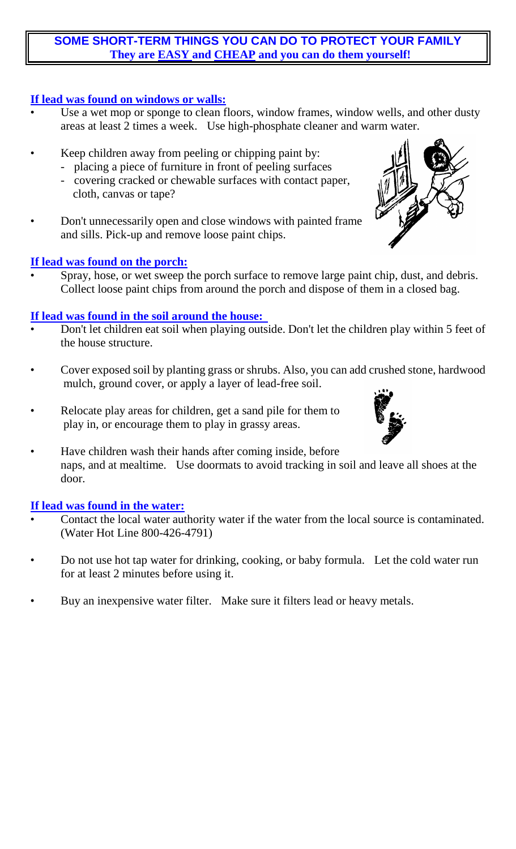### **SOME SHORT-TERM THINGS YOU CAN DO TO PROTECT YOUR FAMILY They are EASY and CHEAP and you can do them yourself!**

#### **If lead was found on windows or walls:**

- Use a wet mop or sponge to clean floors, window frames, window wells, and other dusty areas at least 2 times a week. Use high-phosphate cleaner and warm water.
- Keep children away from peeling or chipping paint by:
	- placing a piece of furniture in front of peeling surfaces
	- covering cracked or chewable surfaces with contact paper, cloth, canvas or tape?
- Don't unnecessarily open and close windows with painted frame and sills. Pick-up and remove loose paint chips.

# **If lead was found on the porch:**

Spray, hose, or wet sweep the porch surface to remove large paint chip, dust, and debris. Collect loose paint chips from around the porch and dispose of them in a closed bag.

### **If lead was found in the soil around the house:**

- Don't let children eat soil when playing outside. Don't let the children play within 5 feet of the house structure.
- Cover exposed soil by planting grass or shrubs. Also, you can add crushed stone, hardwood mulch, ground cover, or apply a layer of lead-free soil.
- Relocate play areas for children, get a sand pile for them to play in, or encourage them to play in grassy areas.
- Have children wash their hands after coming inside, before naps, and at mealtime. Use doormats to avoid tracking in soil and leave all shoes at the door.

#### **If lead was found in the water:**

- Contact the local water authority water if the water from the local source is contaminated. (Water Hot Line 800-426-4791)
- Do not use hot tap water for drinking, cooking, or baby formula. Let the cold water run for at least 2 minutes before using it.
- Buy an inexpensive water filter. Make sure it filters lead or heavy metals.